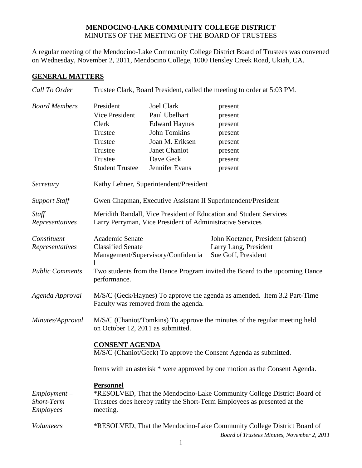## **MENDOCINO-LAKE COMMUNITY COLLEGE DISTRICT** MINUTES OF THE MEETING OF THE BOARD OF TRUSTEES

A regular meeting of the Mendocino-Lake Community College District Board of Trustees was convened on Wednesday, November 2, 2011, Mendocino College, 1000 Hensley Creek Road, Ukiah, CA.

## **GENERAL MATTERS**

| Call To Order                                    | Trustee Clark, Board President, called the meeting to order at 5:03 PM.                                                                                                            |                                                                                                                                                      |                                                                                      |  |
|--------------------------------------------------|------------------------------------------------------------------------------------------------------------------------------------------------------------------------------------|------------------------------------------------------------------------------------------------------------------------------------------------------|--------------------------------------------------------------------------------------|--|
| <b>Board Members</b>                             | President<br><b>Vice President</b><br>Clerk<br>Trustee<br>Trustee<br>Trustee<br>Trustee<br><b>Student Trustee</b>                                                                  | <b>Joel Clark</b><br>Paul Ubelhart<br><b>Edward Haynes</b><br><b>John Tomkins</b><br>Joan M. Eriksen<br>Janet Chaniot<br>Dave Geck<br>Jennifer Evans | present<br>present<br>present<br>present<br>present<br>present<br>present<br>present |  |
| Secretary                                        | Kathy Lehner, Superintendent/President                                                                                                                                             |                                                                                                                                                      |                                                                                      |  |
| <b>Support Staff</b>                             | Gwen Chapman, Executive Assistant II Superintendent/President                                                                                                                      |                                                                                                                                                      |                                                                                      |  |
| Staff<br>Representatives                         | Meridith Randall, Vice President of Education and Student Services<br>Larry Perryman, Vice President of Administrative Services                                                    |                                                                                                                                                      |                                                                                      |  |
| Constituent<br>Representatives                   | Academic Senate<br><b>Classified Senate</b>                                                                                                                                        | Management/Supervisory/Confidentia                                                                                                                   | John Koetzner, President (absent)<br>Larry Lang, President<br>Sue Goff, President    |  |
| <b>Public Comments</b>                           | Two students from the Dance Program invited the Board to the upcoming Dance<br>performance.                                                                                        |                                                                                                                                                      |                                                                                      |  |
| Agenda Approval                                  | M/S/C (Geck/Haynes) To approve the agenda as amended. Item 3.2 Part-Time<br>Faculty was removed from the agenda.                                                                   |                                                                                                                                                      |                                                                                      |  |
| Minutes/Approval                                 | M/S/C (Chaniot/Tomkins) To approve the minutes of the regular meeting held<br>on October 12, 2011 as submitted.                                                                    |                                                                                                                                                      |                                                                                      |  |
|                                                  | <b>CONSENT AGENDA</b><br>M/S/C (Chaniot/Geck) To approve the Consent Agenda as submitted.                                                                                          |                                                                                                                                                      |                                                                                      |  |
|                                                  | Items with an asterisk * were approved by one motion as the Consent Agenda.                                                                                                        |                                                                                                                                                      |                                                                                      |  |
| $Employment -$<br><b>Short-Term</b><br>Employees | <b>Personnel</b><br>*RESOLVED, That the Mendocino-Lake Community College District Board of<br>Trustees does hereby ratify the Short-Term Employees as presented at the<br>meeting. |                                                                                                                                                      |                                                                                      |  |
| Volunteers                                       | *RESOLVED, That the Mendocino-Lake Community College District Board of<br>Board of Trustees Minutes, November 2, 2011                                                              |                                                                                                                                                      |                                                                                      |  |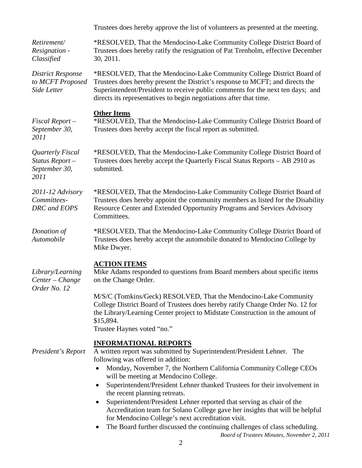|                                                             | Trustees does hereby approve the list of volunteers as presented at the meeting.                                                                                                                                                                                                                                                                                                                                                                                                                                                                                                                                                                                                                                                                                         |  |  |
|-------------------------------------------------------------|--------------------------------------------------------------------------------------------------------------------------------------------------------------------------------------------------------------------------------------------------------------------------------------------------------------------------------------------------------------------------------------------------------------------------------------------------------------------------------------------------------------------------------------------------------------------------------------------------------------------------------------------------------------------------------------------------------------------------------------------------------------------------|--|--|
| Retirement/<br>Resignation -<br>Classified                  | *RESOLVED, That the Mendocino-Lake Community College District Board of<br>Trustees does hereby ratify the resignation of Pat Trenholm, effective December<br>30, 2011.                                                                                                                                                                                                                                                                                                                                                                                                                                                                                                                                                                                                   |  |  |
| <b>District Response</b><br>to MCFT Proposed<br>Side Letter | *RESOLVED, That the Mendocino-Lake Community College District Board of<br>Trustees does hereby present the District's response to MCFT; and directs the<br>Superintendent/President to receive public comments for the next ten days; and<br>directs its representatives to begin negotiations after that time.                                                                                                                                                                                                                                                                                                                                                                                                                                                          |  |  |
| $Fixed$ Report $-$<br>September 30,<br>2011                 | <b>Other Items</b><br>*RESOLVED, That the Mendocino-Lake Community College District Board of<br>Trustees does hereby accept the fiscal report as submitted.                                                                                                                                                                                                                                                                                                                                                                                                                                                                                                                                                                                                              |  |  |
| Quarterly Fiscal<br>Status Report-<br>September 30,<br>2011 | *RESOLVED, That the Mendocino-Lake Community College District Board of<br>Trustees does hereby accept the Quarterly Fiscal Status Reports - AB 2910 as<br>submitted.                                                                                                                                                                                                                                                                                                                                                                                                                                                                                                                                                                                                     |  |  |
| 2011-12 Advisory<br>Committees-<br>DRC and EOPS             | *RESOLVED, That the Mendocino-Lake Community College District Board of<br>Trustees does hereby appoint the community members as listed for the Disability<br>Resource Center and Extended Opportunity Programs and Services Advisory<br>Committees.                                                                                                                                                                                                                                                                                                                                                                                                                                                                                                                      |  |  |
| Donation of<br>Automobile                                   | *RESOLVED, That the Mendocino-Lake Community College District Board of<br>Trustees does hereby accept the automobile donated to Mendocino College by<br>Mike Dwyer.                                                                                                                                                                                                                                                                                                                                                                                                                                                                                                                                                                                                      |  |  |
| Library/Learning<br>Center - Change<br>Order No. 12         | <b>ACTION ITEMS</b><br>Mike Adams responded to questions from Board members about specific items<br>on the Change Order.<br>M/S/C (Tomkins/Geck) RESOLVED, That the Mendocino-Lake Community<br>College District Board of Trustees does hereby ratify Change Order No. 12 for<br>the Library/Learning Center project to Midstate Construction in the amount of<br>\$15,894.<br>Trustee Haynes voted "no."                                                                                                                                                                                                                                                                                                                                                                |  |  |
| President's Report                                          | <b>INFORMATIONAL REPORTS</b><br>A written report was submitted by Superintendent/President Lehner. The<br>following was offered in addition:<br>Monday, November 7, the Northern California Community College CEOs<br>$\bullet$<br>will be meeting at Mendocino College.<br>Superintendent/President Lehner thanked Trustees for their involvement in<br>$\bullet$<br>the recent planning retreats.<br>Superintendent/President Lehner reported that serving as chair of the<br>$\bullet$<br>Accreditation team for Solano College gave her insights that will be helpful<br>for Mendocino College's next accreditation visit.<br>The Board further discussed the continuing challenges of class scheduling.<br>$\bullet$<br>Board of Trustees Minutes, November 2, 2011 |  |  |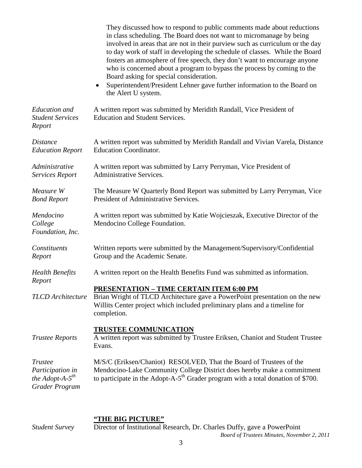|                                                                        | They discussed how to respond to public comments made about reductions<br>in class scheduling. The Board does not want to micromanage by being<br>involved in areas that are not in their purview such as curriculum or the day<br>to day work of staff in developing the schedule of classes. While the Board<br>fosters an atmosphere of free speech, they don't want to encourage anyone<br>who is concerned about a program to bypass the process by coming to the<br>Board asking for special consideration.<br>Superintendent/President Lehner gave further information to the Board on<br>the Alert U system. |
|------------------------------------------------------------------------|----------------------------------------------------------------------------------------------------------------------------------------------------------------------------------------------------------------------------------------------------------------------------------------------------------------------------------------------------------------------------------------------------------------------------------------------------------------------------------------------------------------------------------------------------------------------------------------------------------------------|
| <b>Education</b> and<br><b>Student Services</b><br>Report              | A written report was submitted by Meridith Randall, Vice President of<br><b>Education and Student Services.</b>                                                                                                                                                                                                                                                                                                                                                                                                                                                                                                      |
| <i>Distance</i><br><b>Education Report</b>                             | A written report was submitted by Meridith Randall and Vivian Varela, Distance<br><b>Education Coordinator.</b>                                                                                                                                                                                                                                                                                                                                                                                                                                                                                                      |
| Administrative<br><b>Services Report</b>                               | A written report was submitted by Larry Perryman, Vice President of<br><b>Administrative Services.</b>                                                                                                                                                                                                                                                                                                                                                                                                                                                                                                               |
| Measure W<br><b>Bond Report</b>                                        | The Measure W Quarterly Bond Report was submitted by Larry Perryman, Vice<br>President of Administrative Services.                                                                                                                                                                                                                                                                                                                                                                                                                                                                                                   |
| Mendocino<br>College<br>Foundation, Inc.                               | A written report was submitted by Katie Wojcieszak, Executive Director of the<br>Mendocino College Foundation.                                                                                                                                                                                                                                                                                                                                                                                                                                                                                                       |
| Constituents<br>Report                                                 | Written reports were submitted by the Management/Supervisory/Confidential<br>Group and the Academic Senate.                                                                                                                                                                                                                                                                                                                                                                                                                                                                                                          |
| <b>Health Benefits</b><br>Report                                       | A written report on the Health Benefits Fund was submitted as information.                                                                                                                                                                                                                                                                                                                                                                                                                                                                                                                                           |
| <b>TLCD</b> Architecture                                               | <b>PRESENTATION - TIME CERTAIN ITEM 6:00 PM</b><br>Brian Wright of TLCD Architecture gave a PowerPoint presentation on the new<br>Willits Center project which included preliminary plans and a timeline for<br>completion.                                                                                                                                                                                                                                                                                                                                                                                          |
| <b>Trustee Reports</b>                                                 | <b>TRUSTEE COMMUNICATION</b><br>A written report was submitted by Trustee Eriksen, Chaniot and Student Trustee<br>Evans.                                                                                                                                                                                                                                                                                                                                                                                                                                                                                             |
| Trustee<br>Participation in<br>the Adopt-A- $5^{th}$<br>Grader Program | M/S/C (Eriksen/Chaniot) RESOLVED, That the Board of Trustees of the<br>Mendocino-Lake Community College District does hereby make a commitment<br>to participate in the Adopt-A- $5th$ Grader program with a total donation of \$700.                                                                                                                                                                                                                                                                                                                                                                                |

## **"THE BIG PICTURE"**

*Board of Trustees Minutes, November 2, 2011 Student Survey* Director of Institutional Research, Dr. Charles Duffy, gave a PowerPoint